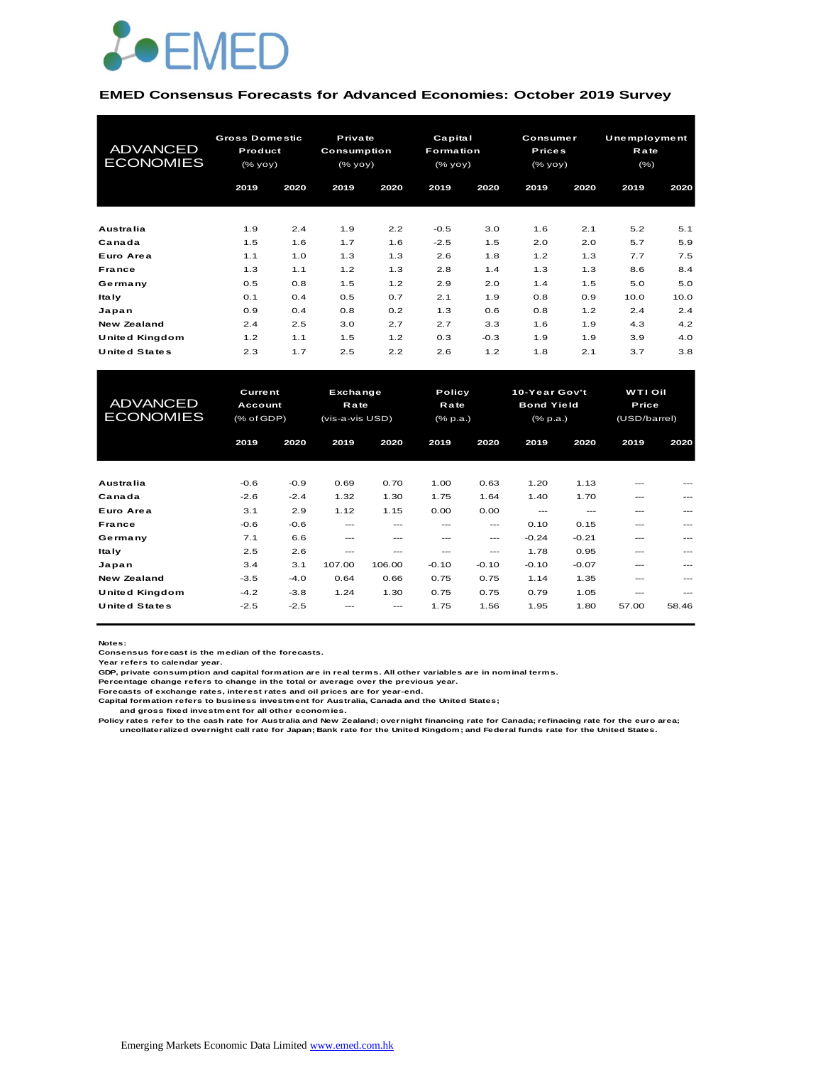

#### **EMED Consensus Forecasts for Advanced Economies: October 2019 Survey**

| <b>ADVANCED</b><br><b>ECONOMIES</b> | <b>Gross Domestic</b><br>Product<br>(% |      | Private<br>Consumption<br>(% |      | Capital<br><b>Formation</b><br>(% |        |      | Consumer<br><b>Prices</b><br>(% yoy) |      | Unemployment<br>Rate<br>$(\% )$ |
|-------------------------------------|----------------------------------------|------|------------------------------|------|-----------------------------------|--------|------|--------------------------------------|------|---------------------------------|
|                                     | 2019                                   | 2020 | 2019                         | 2020 | 2019                              | 2020   | 2019 | 2020                                 | 2019 | 2020                            |
| Australia                           | 1.9                                    | 2.4  | 1.9                          | 2.2  | $-0.5$                            | 3.0    | 1.6  | 2.1                                  | 5.2  | 5.1                             |
| Canada                              | 1.5                                    | 1.6  | 1.7                          | 1.6  | $-2.5$                            | 1.5    | 2.0  | 2.0                                  | 5.7  | 5.9                             |
| Euro Area                           | 1.1                                    | 1.0  | 1.3                          | 1.3  | 2.6                               | 1.8    | 1.2  | 1.3                                  | 7.7  | 7.5                             |
| France                              | 1.3                                    | 1.1  | 1.2                          | 1.3  | 2.8                               | 1.4    | 1.3  | 1.3                                  | 8.6  | 8.4                             |
| Germany                             | 0.5                                    | 0.8  | 1.5                          | 1.2  | 2.9                               | 2.0    | 1.4  | 1.5                                  | 5.0  | 5.0                             |
| ltaly                               | 0.1                                    | 0.4  | 0.5                          | 0.7  | 2.1                               | 1.9    | 0.8  | 0.9                                  | 10.0 | 10.0                            |
| Japan                               | 0.9                                    | 0.4  | 0.8                          | 0.2  | 1.3                               | 0.6    | 0.8  | 1.2                                  | 2.4  | 2.4                             |
| New Zealand                         | 2.4                                    | 2.5  | 3.0                          | 2.7  | 2.7                               | 3.3    | 1.6  | 1.9                                  | 4.3  | 4.2                             |
| United Kingdom                      | 1.2                                    | 1.1  | 1.5                          | 1.2  | 0.3                               | $-0.3$ | 1.9  | 1.9                                  | 3.9  | 4.0                             |
| <b>United States</b>                | 2.3                                    | 1.7  | 2.5                          | 2.2  | 2.6                               | 1.2    | 1.8  | 2.1                                  | 3.7  | 3.8                             |

| United Kingdom                      | 1.2                                     | 1.1    | 1.5                                 | 1.2    | 0.3                        | $-0.3$  | 1.9                                            | 1.9     | 3.9                              | 4.0   |
|-------------------------------------|-----------------------------------------|--------|-------------------------------------|--------|----------------------------|---------|------------------------------------------------|---------|----------------------------------|-------|
| <b>United States</b>                | 2.3                                     | 1.7    | 2.5                                 | 2.2    | 2.6                        | 1.2     | 1.8                                            | 2.1     | 3.7                              | 3.8   |
|                                     |                                         |        |                                     |        |                            |         |                                                |         |                                  |       |
| <b>ADVANCED</b><br><b>ECONOMIES</b> | <b>Current</b><br>Account<br>(% of GDP) |        | Exchange<br>Rate<br>(vis-a-vis USD) |        | Policy<br>Rate<br>(% p.a.) |         | 10-Year Gov't<br><b>Bond Yield</b><br>(% p.a.) |         | WTI Oil<br>Price<br>(USD/barrel) |       |
|                                     | 2019                                    | 2020   | 2019                                | 2020   | 2019                       | 2020    | 2019                                           | 2020    | 2019                             | 2020  |
|                                     |                                         |        |                                     |        |                            |         |                                                |         |                                  |       |
| Australia                           | $-0.6$                                  | $-0.9$ | 0.69                                | 0.70   | 1.00                       | 0.63    | 1.20                                           | 1.13    |                                  |       |
| Canada                              | $-2.6$                                  | $-2.4$ | 1.32                                | 1.30   | 1.75                       | 1.64    | 1.40                                           | 1.70    | ---                              |       |
| Euro Area                           | 3.1                                     | 2.9    | 1.12                                | 1.15   | 0.00                       | 0.00    | ---                                            | $---$   | ---                              |       |
| France                              | $-0.6$                                  | $-0.6$ | ---                                 | ---    | ---                        | ---     | 0.10                                           | 0.15    | ---                              |       |
| Germany                             | 7.1                                     | 6.6    | $---$                               | ---    | ---                        | ---     | $-0.24$                                        | $-0.21$ |                                  |       |
| <b>Italy</b>                        | 2.5                                     | 2.6    | ---                                 | ---    | ---                        | ---     | 1.78                                           | 0.95    | ---                              |       |
| Japan                               | 3.4                                     | 3.1    | 107.00                              | 106.00 | $-0.10$                    | $-0.10$ | $-0.10$                                        | $-0.07$ | $---$                            |       |
| <b>New Zealand</b>                  | $-3.5$                                  | $-4.0$ | 0.64                                | 0.66   | 0.75                       | 0.75    | 1.14                                           | 1.35    | ---                              |       |
| United Kingdom                      | $-4.2$                                  | $-3.8$ | 1.24                                | 1.30   | 0.75                       | 0.75    | 0.79                                           | 1.05    | ---                              |       |
| <b>United States</b>                | $-2.5$                                  | $-2.5$ |                                     |        | 1.75                       | 1.56    | 1.95                                           | 1.80    | 57.00                            | 58.46 |

**Notes:** 

**Consensus forecast is the median of the forecasts.**

**Year refers to calendar year.**

**GDP, private consumption and capital formation are in real terms. All other variables are in nominal terms.**

**Percentage change refers to change in the total or average over the previous year.**

**Forecasts of exchange rates, interest rates and oil prices are for year-end.**

**Capital formation refers to business investment for Australia, Canada and the United States; and gross fixed investment for all other economies.**

**Policy rates refer to the cash rate for Australia and New Zealand; overnight financing rate for Canada; refinacing rate for the euro area; uncollateralized overnight call rate for Japan; Bank rate for the United Kingdom; and Federal funds rate for the United States.**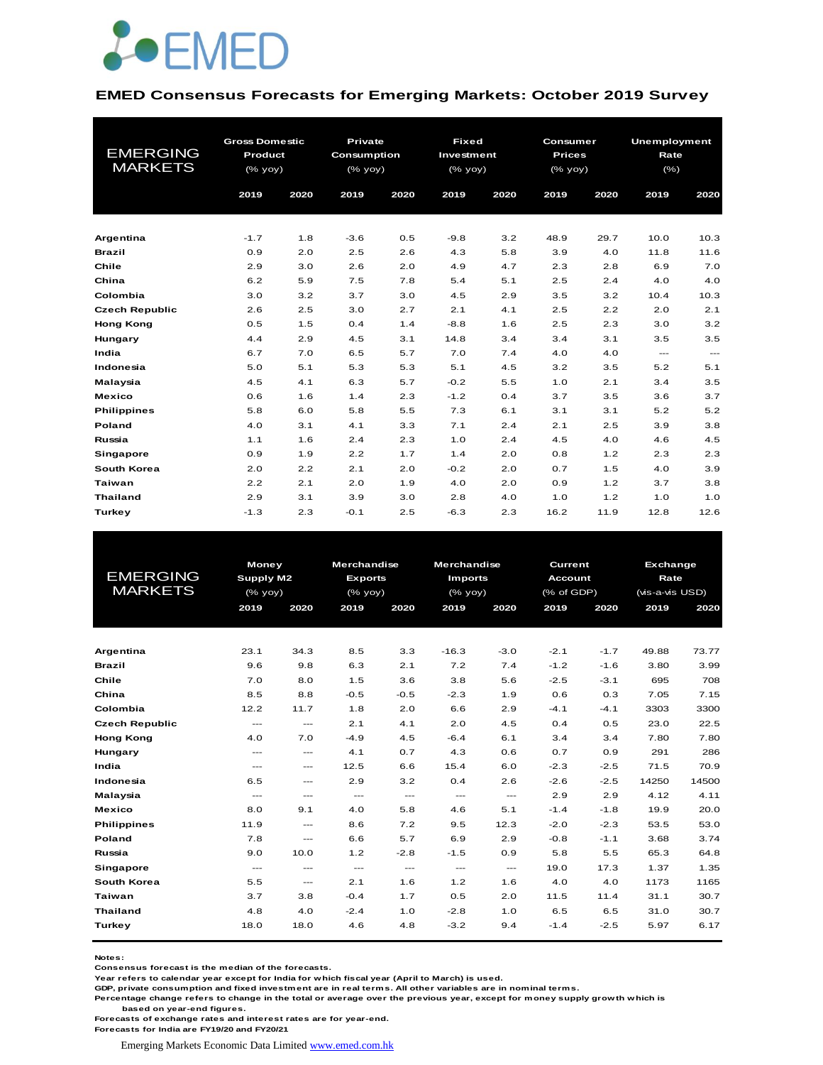

#### **EMED Consensus Forecasts for Emerging Markets: October 2019 Survey**

| <b>EMERGING</b><br><b>MARKETS</b> | <b>Gross Domestic</b><br>Product<br>(% yoy)<br>2019<br>2020 |     | <b>Private</b><br><b>Consumption</b><br>$(%$ $\gamma$<br>2019 | 2020 | <b>Fixed</b><br>Investment<br>(% yoy)<br>2019 | 2020 | Consumer<br><b>Prices</b><br>(% yoy)<br>2019 | 2020 | <b>Unemployment</b><br>Rate<br>$(\% )$<br>2019 | 2020          |
|-----------------------------------|-------------------------------------------------------------|-----|---------------------------------------------------------------|------|-----------------------------------------------|------|----------------------------------------------|------|------------------------------------------------|---------------|
|                                   |                                                             |     |                                                               |      |                                               |      |                                              |      |                                                |               |
| Argentina                         | $-1.7$                                                      | 1.8 | $-3.6$                                                        | 0.5  | $-9.8$                                        | 3.2  | 48.9                                         | 29.7 | 10.0                                           | 10.3          |
| <b>Brazil</b>                     | 0.9                                                         | 2.0 | 2.5                                                           | 2.6  | 4.3                                           | 5.8  | 3.9                                          | 4.0  | 11.8                                           | 11.6          |
| Chile                             | 2.9                                                         | 3.0 | 2.6                                                           | 2.0  | 4.9                                           | 4.7  | 2.3                                          | 2.8  | 6.9                                            | 7.0           |
| China                             | 6.2                                                         | 5.9 | 7.5                                                           | 7.8  | 5.4                                           | 5.1  | 2.5                                          | 2.4  | 4.0                                            | 4.0           |
| Colombia                          | 3.0                                                         | 3.2 | 3.7                                                           | 3.0  | 4.5                                           | 2.9  | 3.5                                          | 3.2  | 10.4                                           | 10.3          |
| <b>Czech Republic</b>             | 2.6                                                         | 2.5 | 3.0                                                           | 2.7  | 2.1                                           | 4.1  | 2.5                                          | 2.2  | 2.0                                            | 2.1           |
| <b>Hong Kong</b>                  | 0.5                                                         | 1.5 | 0.4                                                           | 1.4  | $-8.8$                                        | 1.6  | 2.5                                          | 2.3  | 3.0                                            | 3.2           |
| Hungary                           | 4.4                                                         | 2.9 | 4.5                                                           | 3.1  | 14.8                                          | 3.4  | 3.4                                          | 3.1  | 3.5                                            | 3.5           |
| India                             | 6.7                                                         | 7.0 | 6.5                                                           | 5.7  | 7.0                                           | 7.4  | 4.0                                          | 4.0  | $\frac{1}{2}$                                  | $\frac{1}{2}$ |
| Indonesia                         | 5.0                                                         | 5.1 | 5.3                                                           | 5.3  | 5.1                                           | 4.5  | 3.2                                          | 3.5  | 5.2                                            | 5.1           |
| Malaysia                          | 4.5                                                         | 4.1 | 6.3                                                           | 5.7  | $-0.2$                                        | 5.5  | 1.0                                          | 2.1  | 3.4                                            | 3.5           |
| <b>Mexico</b>                     | 0.6                                                         | 1.6 | 1.4                                                           | 2.3  | $-1.2$                                        | 0.4  | 3.7                                          | 3.5  | 3.6                                            | 3.7           |
| <b>Philippines</b>                | 5.8                                                         | 6.0 | 5.8                                                           | 5.5  | 7.3                                           | 6.1  | 3.1                                          | 3.1  | 5.2                                            | 5.2           |
| Poland                            | 4.0                                                         | 3.1 | 4.1                                                           | 3.3  | 7.1                                           | 2.4  | 2.1                                          | 2.5  | 3.9                                            | 3.8           |
| Russia                            | 1.1                                                         | 1.6 | 2.4                                                           | 2.3  | 1.0                                           | 2.4  | 4.5                                          | 4.0  | 4.6                                            | 4.5           |
| Singapore                         | 0.9                                                         | 1.9 | 2.2                                                           | 1.7  | 1.4                                           | 2.0  | 0.8                                          | 1.2  | 2.3                                            | 2.3           |
| South Korea                       | 2.0                                                         | 2.2 | 2.1                                                           | 2.0  | $-0.2$                                        | 2.0  | 0.7                                          | 1.5  | 4.0                                            | 3.9           |
| <b>Taiwan</b>                     | 2.2                                                         | 2.1 | 2.0                                                           | 1.9  | 4.0                                           | 2.0  | 0.9                                          | 1.2  | 3.7                                            | 3.8           |
| <b>Thailand</b>                   | 2.9                                                         | 3.1 | 3.9                                                           | 3.0  | 2.8                                           | 4.0  | 1.0                                          | 1.2  | 1.0                                            | 1.0           |
| <b>Turkey</b>                     | $-1.3$                                                      | 2.3 | $-0.1$                                                        | 2.5  | $-6.3$                                        | 2.3  | 16.2                                         | 11.9 | 12.8                                           | 12.6          |

|                       | Money         |                                          | <b>Merchandise</b>                       |                                          | <b>Merchandise</b>       |                      | <b>Current</b> |        | Exchange        |       |
|-----------------------|---------------|------------------------------------------|------------------------------------------|------------------------------------------|--------------------------|----------------------|----------------|--------|-----------------|-------|
| <b>EMERGING</b>       | Supply M2     |                                          | <b>Exports</b>                           |                                          | <b>Imports</b>           |                      | <b>Account</b> |        | Rate            |       |
| <b>MARKETS</b>        | (% yoy)       |                                          | $(%$ $\gamma$                            |                                          | $(%$ (% yoy)             |                      | (% of GDP)     |        | (vis-a-vis USD) |       |
|                       | 2019          | 2020                                     | 2019                                     | 2020                                     | 2019                     | 2020                 | 2019           | 2020   | 2019            | 2020  |
|                       |               |                                          |                                          |                                          |                          |                      |                |        |                 |       |
|                       |               |                                          |                                          |                                          |                          |                      |                |        |                 |       |
| Argentina             | 23.1          | 34.3                                     | 8.5                                      | 3.3                                      | $-16.3$                  | $-3.0$               | $-2.1$         | $-1.7$ | 49.88           | 73.77 |
| <b>Brazil</b>         | 9.6           | 9.8                                      | 6.3                                      | 2.1                                      | 7.2                      | 7.4                  | $-1.2$         | $-1.6$ | 3.80            | 3.99  |
| Chile                 | 7.0           | 8.0                                      | 1.5                                      | 3.6                                      | 3.8                      | 5.6                  | $-2.5$         | $-3.1$ | 695             | 708   |
| China                 | 8.5           | 8.8                                      | $-0.5$                                   | $-0.5$                                   | $-2.3$                   | 1.9                  | 0.6            | 0.3    | 7.05            | 7.15  |
| Colombia              | 12.2          | 11.7                                     | 1.8                                      | 2.0                                      | 6.6                      | 2.9                  | $-4.1$         | $-4.1$ | 3303            | 3300  |
| <b>Czech Republic</b> | $\frac{1}{2}$ | $- - -$                                  | 2.1                                      | 4.1                                      | 2.0                      | 4.5                  | 0.4            | 0.5    | 23.0            | 22.5  |
| <b>Hong Kong</b>      | 4.0           | 7.0                                      | $-4.9$                                   | 4.5                                      | $-6.4$                   | 6.1                  | 3.4            | 3.4    | 7.80            | 7.80  |
| Hungary               | $\frac{1}{2}$ | $\frac{1}{2}$                            | 4.1                                      | 0.7                                      | 4.3                      | 0.6                  | 0.7            | 0.9    | 291             | 286   |
| India                 | $\frac{1}{2}$ | $\hspace{0.05cm} \ldots \hspace{0.05cm}$ | 12.5                                     | 6.6                                      | 15.4                     | 6.0                  | $-2.3$         | $-2.5$ | 71.5            | 70.9  |
| Indonesia             | 6.5           | $\hspace{0.05cm} \ldots \hspace{0.05cm}$ | 2.9                                      | 3.2                                      | 0.4                      | 2.6                  | $-2.6$         | $-2.5$ | 14250           | 14500 |
| Malaysia              | $\frac{1}{2}$ | $\qquad \qquad -$                        | $\hspace{0.05cm} \ldots \hspace{0.05cm}$ | $\hspace{0.05cm} \ldots \hspace{0.05cm}$ | $\hspace{0.05cm} \ldots$ | $\sim$ $\sim$ $\sim$ | 2.9            | 2.9    | 4.12            | 4.11  |
| <b>Mexico</b>         | 8.0           | 9.1                                      | 4.0                                      | 5.8                                      | 4.6                      | 5.1                  | $-1.4$         | $-1.8$ | 19.9            | 20.0  |
| <b>Philippines</b>    | 11.9          | $\qquad \qquad -$                        | 8.6                                      | 7.2                                      | 9.5                      | 12.3                 | $-2.0$         | $-2.3$ | 53.5            | 53.0  |
| Poland                | 7.8           | $\hspace{0.05cm} \ldots \hspace{0.05cm}$ | 6.6                                      | 5.7                                      | 6.9                      | 2.9                  | $-0.8$         | $-1.1$ | 3.68            | 3.74  |
| Russia                | 9.0           | 10.0                                     | 1.2                                      | $-2.8$                                   | $-1.5$                   | 0.9                  | 5.8            | 5.5    | 65.3            | 64.8  |
| Singapore             | $\frac{1}{2}$ | $\qquad \qquad -$                        | $  -$                                    | $\frac{1}{2}$                            | $\qquad \qquad \cdots$   | $\frac{1}{2}$        | 19.0           | 17.3   | 1.37            | 1.35  |
| South Korea           | 5.5           | $\qquad \qquad \cdots$                   | 2.1                                      | 1.6                                      | 1.2                      | 1.6                  | 4.0            | 4.0    | 1173            | 1165  |
| <b>Taiwan</b>         | 3.7           | 3.8                                      | $-0.4$                                   | 1.7                                      | 0.5                      | 2.0                  | 11.5           | 11.4   | 31.1            | 30.7  |
| <b>Thailand</b>       | 4.8           | 4.0                                      | $-2.4$                                   | 1.0                                      | $-2.8$                   | 1.0                  | 6.5            | 6.5    | 31.0            | 30.7  |
| Turkey                | 18.0          | 18.0                                     | 4.6                                      | 4.8                                      | $-3.2$                   | 9.4                  | $-1.4$         | $-2.5$ | 5.97            | 6.17  |
|                       |               |                                          |                                          |                                          |                          |                      |                |        |                 |       |

**Notes:** 

**Consensus forecast is the median of the forecasts.**

**Year refers to calendar year except for India for which fiscal year (April to March) is used. GDP, private consumption and fixed investment are in real terms. All other variables are in nominal terms.**

**Percentage change refers to change in the total or average over the previous year, except for money supply growth which is based on year-end figures.**

**Forecasts of exchange rates and interest rates are for year-end.**

**Forecasts for India are FY19/20 and FY20/21**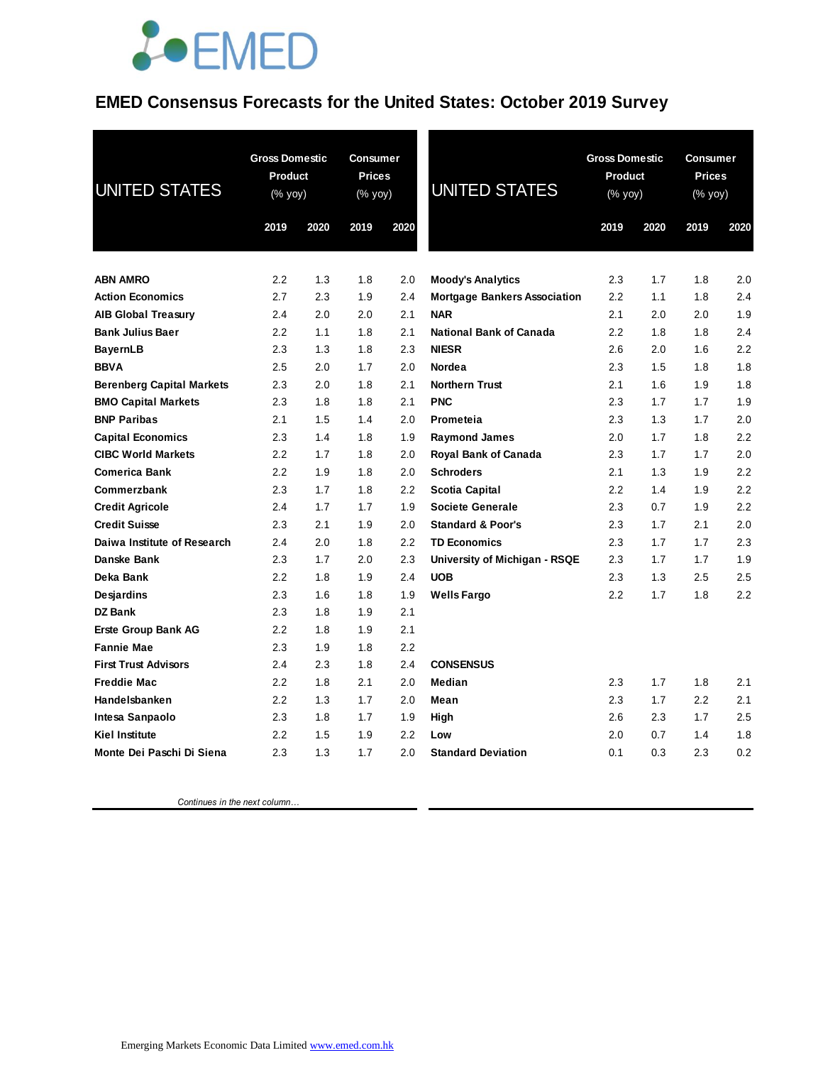### **EMED Consensus Forecasts for the United States: October 2019 Survey**

| <b>UNITED STATES</b>             | <b>Gross Domestic</b><br>Product<br>(% yoy)<br>2019 | 2020 | <b>Consumer</b><br><b>Prices</b><br>(% yoy)<br>2019 | 2020    | <b>UNITED STATES</b>                | 2019 | <b>Gross Domestic</b><br>Product<br>(% yoy)<br>2020 |     | <b>Consumer</b><br><b>Prices</b><br>(% yoy)<br>2020<br>2019 |  |
|----------------------------------|-----------------------------------------------------|------|-----------------------------------------------------|---------|-------------------------------------|------|-----------------------------------------------------|-----|-------------------------------------------------------------|--|
| <b>ABN AMRO</b>                  | 2.2                                                 | 1.3  | 1.8                                                 | 2.0     | <b>Moody's Analytics</b>            | 2.3  | 1.7                                                 | 1.8 | 2.0                                                         |  |
| <b>Action Economics</b>          | 2.7                                                 | 2.3  | 1.9                                                 | 2.4     | <b>Mortgage Bankers Association</b> | 2.2  | 1.1                                                 | 1.8 | 2.4                                                         |  |
| <b>AIB Global Treasury</b>       | 2.4                                                 | 2.0  | 2.0                                                 | 2.1     | <b>NAR</b>                          | 2.1  | 2.0                                                 | 2.0 | 1.9                                                         |  |
| <b>Bank Julius Baer</b>          | 2.2                                                 | 1.1  | 1.8                                                 | 2.1     | <b>National Bank of Canada</b>      | 2.2  | 1.8                                                 | 1.8 | 2.4                                                         |  |
| <b>BayernLB</b>                  | 2.3                                                 | 1.3  | 1.8                                                 | 2.3     | <b>NIESR</b>                        | 2.6  | 2.0                                                 | 1.6 | 2.2                                                         |  |
| <b>BBVA</b>                      | 2.5                                                 | 2.0  | 1.7                                                 | 2.0     | Nordea                              | 2.3  | 1.5                                                 | 1.8 | 1.8                                                         |  |
| <b>Berenberg Capital Markets</b> | 2.3                                                 | 2.0  | 1.8                                                 | 2.1     | <b>Northern Trust</b>               | 2.1  | 1.6                                                 | 1.9 | 1.8                                                         |  |
| <b>BMO Capital Markets</b>       | 2.3                                                 | 1.8  | 1.8                                                 | 2.1     | <b>PNC</b>                          | 2.3  | 1.7                                                 | 1.7 | 1.9                                                         |  |
| <b>BNP Paribas</b>               | 2.1                                                 | 1.5  | 1.4                                                 | 2.0     | Prometeia                           | 2.3  | 1.3                                                 | 1.7 | 2.0                                                         |  |
| <b>Capital Economics</b>         | 2.3                                                 | 1.4  | 1.8                                                 | 1.9     | <b>Raymond James</b>                | 2.0  | 1.7                                                 | 1.8 | 2.2                                                         |  |
| <b>CIBC World Markets</b>        | 2.2                                                 | 1.7  | 1.8                                                 | 2.0     | Royal Bank of Canada                | 2.3  | 1.7                                                 | 1.7 | 2.0                                                         |  |
| <b>Comerica Bank</b>             | 2.2                                                 | 1.9  | 1.8                                                 | 2.0     | <b>Schroders</b>                    | 2.1  | 1.3                                                 | 1.9 | 2.2                                                         |  |
| Commerzbank                      | 2.3                                                 | 1.7  | 1.8                                                 | 2.2     | <b>Scotia Capital</b>               | 2.2  | 1.4                                                 | 1.9 | 2.2                                                         |  |
| <b>Credit Agricole</b>           | 2.4                                                 | 1.7  | 1.7                                                 | 1.9     | Societe Generale                    | 2.3  | 0.7                                                 | 1.9 | 2.2                                                         |  |
| <b>Credit Suisse</b>             | 2.3                                                 | 2.1  | 1.9                                                 | 2.0     | <b>Standard &amp; Poor's</b>        | 2.3  | 1.7                                                 | 2.1 | 2.0                                                         |  |
| Daiwa Institute of Research      | 2.4                                                 | 2.0  | 1.8                                                 | 2.2     | <b>TD Economics</b>                 | 2.3  | 1.7                                                 | 1.7 | 2.3                                                         |  |
| Danske Bank                      | 2.3                                                 | 1.7  | 2.0                                                 | 2.3     | University of Michigan - RSQE       | 2.3  | 1.7                                                 | 1.7 | 1.9                                                         |  |
| Deka Bank                        | 2.2                                                 | 1.8  | 1.9                                                 | 2.4     | <b>UOB</b>                          | 2.3  | 1.3                                                 | 2.5 | 2.5                                                         |  |
| Desjardins                       | 2.3                                                 | 1.6  | 1.8                                                 | 1.9     | <b>Wells Fargo</b>                  | 2.2  | 1.7                                                 | 1.8 | 2.2                                                         |  |
| <b>DZ Bank</b>                   | 2.3                                                 | 1.8  | 1.9                                                 | 2.1     |                                     |      |                                                     |     |                                                             |  |
| <b>Erste Group Bank AG</b>       | 2.2                                                 | 1.8  | 1.9                                                 | 2.1     |                                     |      |                                                     |     |                                                             |  |
| <b>Fannie Mae</b>                | 2.3                                                 | 1.9  | 1.8                                                 | 2.2     |                                     |      |                                                     |     |                                                             |  |
| <b>First Trust Advisors</b>      | 2.4                                                 | 2.3  | 1.8                                                 | 2.4     | <b>CONSENSUS</b>                    |      |                                                     |     |                                                             |  |
| <b>Freddie Mac</b>               | 2.2                                                 | 1.8  | 2.1                                                 | 2.0     | Median                              | 2.3  | 1.7                                                 | 1.8 | 2.1                                                         |  |
| Handelsbanken                    | 2.2                                                 | 1.3  | 1.7                                                 | 2.0     | Mean                                | 2.3  | 1.7                                                 | 2.2 | 2.1                                                         |  |
| Intesa Sanpaolo                  | 2.3                                                 | 1.8  | 1.7                                                 | 1.9     | High                                | 2.6  | 2.3                                                 | 1.7 | 2.5                                                         |  |
| <b>Kiel Institute</b>            | 2.2                                                 | 1.5  | 1.9                                                 | $2.2\,$ | Low                                 | 2.0  | 0.7                                                 | 1.4 | 1.8                                                         |  |
| Monte Dei Paschi Di Siena        | 2.3                                                 | 1.3  | 1.7                                                 | 2.0     | <b>Standard Deviation</b>           | 0.1  | 0.3                                                 | 2.3 | 0.2                                                         |  |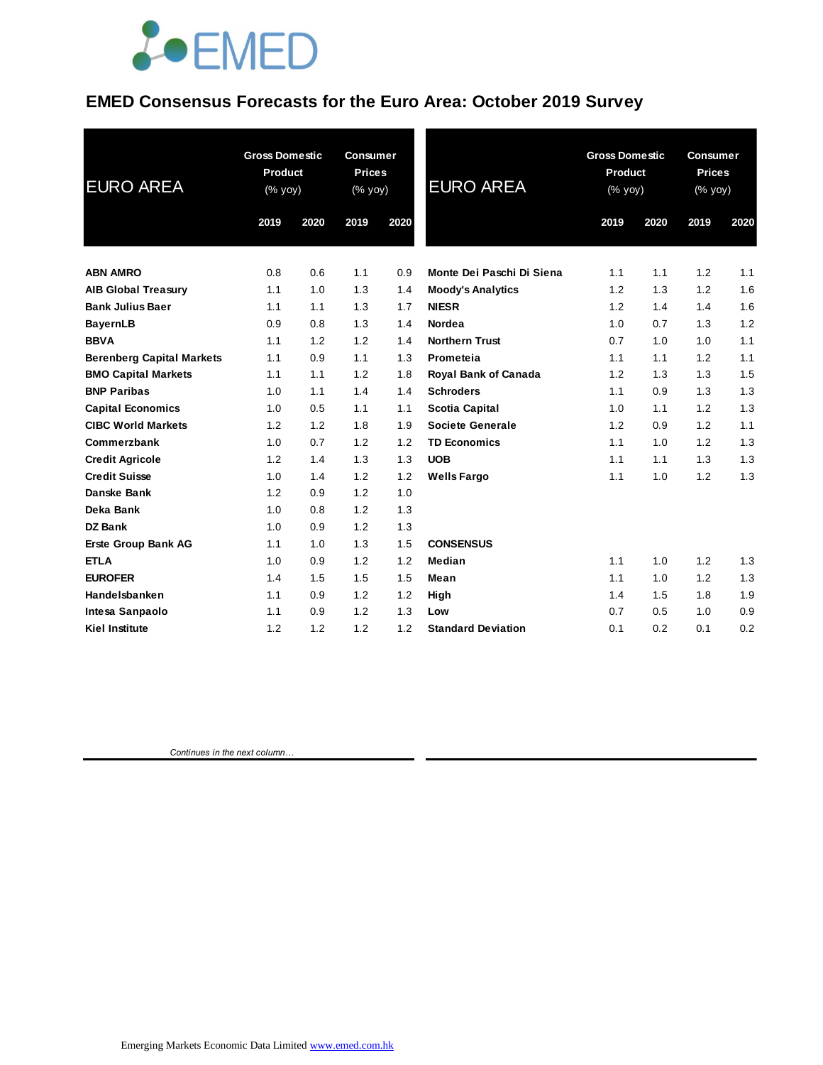### **EMED Consensus Forecasts for the Euro Area: October 2019 Survey**

| <b>EURO AREA</b>                 | <b>Gross Domestic</b><br>Product<br>(% yoy) |      | <b>Consumer</b><br><b>Prices</b><br>(% yoy) |      | <b>EURO AREA</b>            | <b>Gross Domestic</b><br>Product<br>(% yoy) |      | <b>Consumer</b><br><b>Prices</b><br>(% yoy) |      |
|----------------------------------|---------------------------------------------|------|---------------------------------------------|------|-----------------------------|---------------------------------------------|------|---------------------------------------------|------|
|                                  | 2019                                        | 2020 | 2019                                        | 2020 |                             | 2019                                        | 2020 | 2019                                        | 2020 |
| <b>ABN AMRO</b>                  | 0.8                                         | 0.6  | 1.1                                         | 0.9  | Monte Dei Paschi Di Siena   | 1.1                                         | 1.1  | 1.2                                         | 1.1  |
| <b>AIB Global Treasury</b>       | 1.1                                         | 1.0  | 1.3                                         | 1.4  | <b>Moody's Analytics</b>    | 1.2                                         | 1.3  | 1.2                                         | 1.6  |
| <b>Bank Julius Baer</b>          | 1.1                                         | 1.1  | 1.3                                         | 1.7  | <b>NIESR</b>                | 1.2                                         | 1.4  | 1.4                                         | 1.6  |
| <b>BayernLB</b>                  | 0.9                                         | 0.8  | 1.3                                         | 1.4  | Nordea                      | 1.0                                         | 0.7  | 1.3                                         | 1.2  |
| <b>BBVA</b>                      | 1.1                                         | 1.2  | 1.2                                         | 1.4  | <b>Northern Trust</b>       | 0.7                                         | 1.0  | 1.0                                         | 1.1  |
| <b>Berenberg Capital Markets</b> | 1.1                                         | 0.9  | 1.1                                         | 1.3  | Prometeia                   | 1.1                                         | 1.1  | 1.2                                         | 1.1  |
| <b>BMO Capital Markets</b>       | 1.1                                         | 1.1  | 1.2                                         | 1.8  | <b>Royal Bank of Canada</b> | 1.2                                         | 1.3  | 1.3                                         | 1.5  |
| <b>BNP Paribas</b>               | 1.0                                         | 1.1  | 1.4                                         | 1.4  | <b>Schroders</b>            | 1.1                                         | 0.9  | 1.3                                         | 1.3  |
| <b>Capital Economics</b>         | 1.0                                         | 0.5  | 1.1                                         | 1.1  | <b>Scotia Capital</b>       | 1.0                                         | 1.1  | 1.2                                         | 1.3  |
| <b>CIBC World Markets</b>        | 1.2                                         | 1.2  | 1.8                                         | 1.9  | <b>Societe Generale</b>     | 1.2                                         | 0.9  | 1.2                                         | 1.1  |
| Commerzbank                      | 1.0                                         | 0.7  | 1.2                                         | 1.2  | <b>TD Economics</b>         | 1.1                                         | 1.0  | 1.2                                         | 1.3  |
| <b>Credit Agricole</b>           | 1.2                                         | 1.4  | 1.3                                         | 1.3  | <b>UOB</b>                  | 1.1                                         | 1.1  | 1.3                                         | 1.3  |
| <b>Credit Suisse</b>             | 1.0                                         | 1.4  | 1.2                                         | 1.2  | <b>Wells Fargo</b>          | 1.1                                         | 1.0  | 1.2                                         | 1.3  |
| <b>Danske Bank</b>               | 1.2                                         | 0.9  | 1.2                                         | 1.0  |                             |                                             |      |                                             |      |
| Deka Bank                        | 1.0                                         | 0.8  | 1.2                                         | 1.3  |                             |                                             |      |                                             |      |
| DZ Bank                          | 1.0                                         | 0.9  | 1.2                                         | 1.3  |                             |                                             |      |                                             |      |
| <b>Erste Group Bank AG</b>       | 1.1                                         | 1.0  | 1.3                                         | 1.5  | <b>CONSENSUS</b>            |                                             |      |                                             |      |
| <b>ETLA</b>                      | 1.0                                         | 0.9  | 1.2                                         | 1.2  | Median                      | 1.1                                         | 1.0  | 1.2                                         | 1.3  |
| <b>EUROFER</b>                   | 1.4                                         | 1.5  | 1.5                                         | 1.5  | Mean                        | 1.1                                         | 1.0  | 1.2                                         | 1.3  |
| Handelsbanken                    | 1.1                                         | 0.9  | 1.2                                         | 1.2  | High                        | 1.4                                         | 1.5  | 1.8                                         | 1.9  |
| Intesa Sanpaolo                  | 1.1                                         | 0.9  | 1.2                                         | 1.3  | Low                         | 0.7                                         | 0.5  | 1.0                                         | 0.9  |
| <b>Kiel Institute</b>            | 1.2                                         | 1.2  | 1.2                                         | 1.2  | <b>Standard Deviation</b>   | 0.1                                         | 0.2  | 0.1                                         | 0.2  |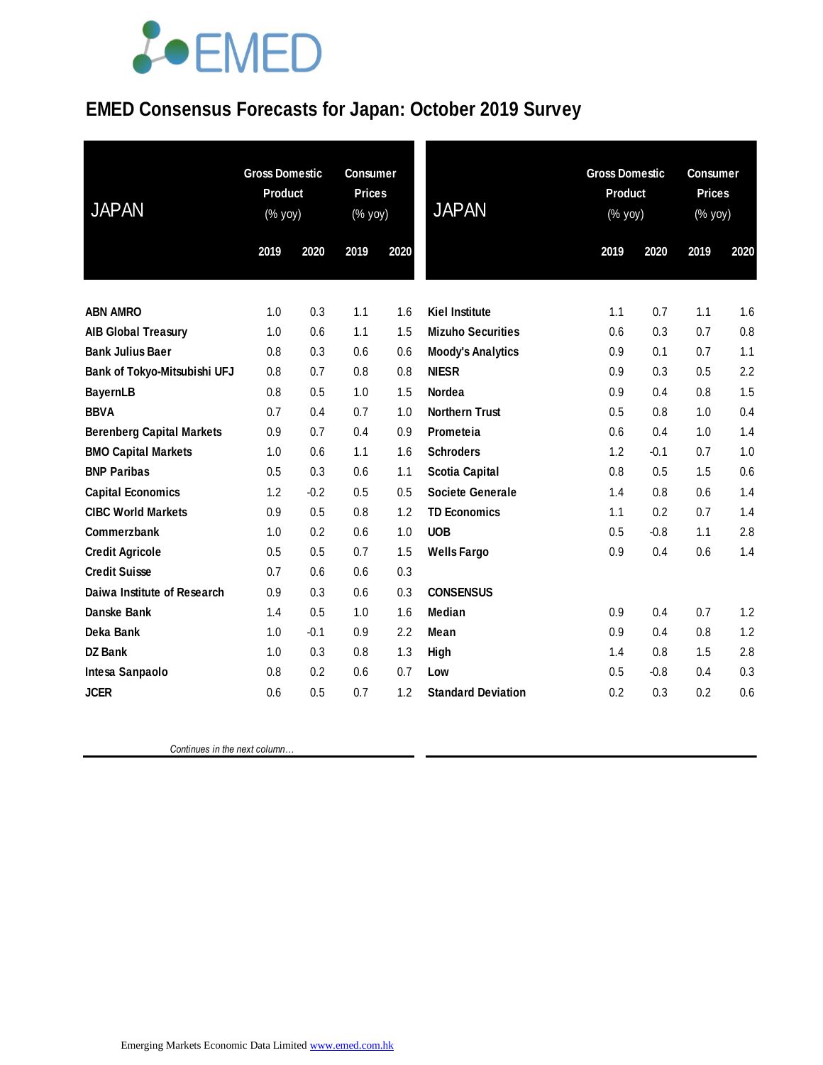### **EMED Consensus Forecasts for Japan: October 2019 Survey**

| <b>JAPAN</b>                     | <b>Gross Domestic</b><br><b>Product</b><br>(% yoy) |        | <b>Consumer</b><br><b>Prices</b><br>(% yoy) |      | <b>JAPAN</b>              | <b>Gross Domestic</b><br><b>Product</b><br>(% yoy) |        | <b>Consumer</b><br><b>Prices</b><br>(% yoy) |      |
|----------------------------------|----------------------------------------------------|--------|---------------------------------------------|------|---------------------------|----------------------------------------------------|--------|---------------------------------------------|------|
|                                  | 2019                                               | 2020   | 2019                                        | 2020 |                           | 2019                                               | 2020   | 2019                                        | 2020 |
|                                  |                                                    |        |                                             |      |                           |                                                    |        |                                             |      |
| <b>ABN AMRO</b>                  | 1.0                                                | 0.3    | 1.1                                         | 1.6  | <b>Kiel Institute</b>     | 1.1                                                | 0.7    | 1.1                                         | 1.6  |
| <b>AIB Global Treasury</b>       | 1.0                                                | 0.6    | 1.1                                         | 1.5  | <b>Mizuho Securities</b>  | 0.6                                                | 0.3    | 0.7                                         | 0.8  |
| <b>Bank Julius Baer</b>          | 0.8                                                | 0.3    | 0.6                                         | 0.6  | <b>Moody's Analytics</b>  | 0.9                                                | 0.1    | 0.7                                         | 1.1  |
| Bank of Tokyo-Mitsubishi UFJ     | 0.8                                                | 0.7    | 0.8                                         | 0.8  | <b>NIESR</b>              | 0.9                                                | 0.3    | 0.5                                         | 2.2  |
| <b>BayernLB</b>                  | 0.8                                                | 0.5    | 1.0                                         | 1.5  | Nordea                    | 0.9                                                | 0.4    | 0.8                                         | 1.5  |
| <b>BBVA</b>                      | 0.7                                                | 0.4    | 0.7                                         | 1.0  | <b>Northern Trust</b>     | 0.5                                                | 0.8    | 1.0                                         | 0.4  |
| <b>Berenberg Capital Markets</b> | 0.9                                                | 0.7    | 0.4                                         | 0.9  | Prometeia                 | 0.6                                                | 0.4    | 1.0                                         | 1.4  |
| <b>BMO Capital Markets</b>       | 1.0                                                | 0.6    | 1.1                                         | 1.6  | <b>Schroders</b>          | 1.2                                                | $-0.1$ | 0.7                                         | 1.0  |
| <b>BNP Paribas</b>               | 0.5                                                | 0.3    | 0.6                                         | 1.1  | <b>Scotia Capital</b>     | 0.8                                                | 0.5    | 1.5                                         | 0.6  |
| <b>Capital Economics</b>         | 1.2                                                | $-0.2$ | 0.5                                         | 0.5  | Societe Generale          | 1.4                                                | 0.8    | 0.6                                         | 1.4  |
| <b>CIBC World Markets</b>        | 0.9                                                | 0.5    | 0.8                                         | 1.2  | <b>TD Economics</b>       | 1.1                                                | 0.2    | 0.7                                         | 1.4  |
| Commerzbank                      | 1.0                                                | 0.2    | 0.6                                         | 1.0  | <b>UOB</b>                | 0.5                                                | $-0.8$ | 1.1                                         | 2.8  |
| <b>Credit Agricole</b>           | 0.5                                                | 0.5    | 0.7                                         | 1.5  | <b>Wells Fargo</b>        | 0.9                                                | 0.4    | 0.6                                         | 1.4  |
| <b>Credit Suisse</b>             | 0.7                                                | 0.6    | 0.6                                         | 0.3  |                           |                                                    |        |                                             |      |
| Daiwa Institute of Research      | 0.9                                                | 0.3    | 0.6                                         | 0.3  | <b>CONSENSUS</b>          |                                                    |        |                                             |      |
| Danske Bank                      | 1.4                                                | 0.5    | 1.0                                         | 1.6  | <b>Median</b>             | 0.9                                                | 0.4    | 0.7                                         | 1.2  |
| Deka Bank                        | 1.0                                                | $-0.1$ | 0.9                                         | 2.2  | Mean                      | 0.9                                                | 0.4    | 0.8                                         | 1.2  |
| <b>DZ Bank</b>                   | 1.0                                                | 0.3    | 0.8                                         | 1.3  | High                      | 1.4                                                | 0.8    | 1.5                                         | 2.8  |
| Intesa Sanpaolo                  | 0.8                                                | 0.2    | 0.6                                         | 0.7  | Low                       | 0.5                                                | $-0.8$ | 0.4                                         | 0.3  |
| <b>JCER</b>                      | 0.6                                                | 0.5    | 0.7                                         | 1.2  | <b>Standard Deviation</b> | 0.2                                                | 0.3    | 0.2                                         | 0.6  |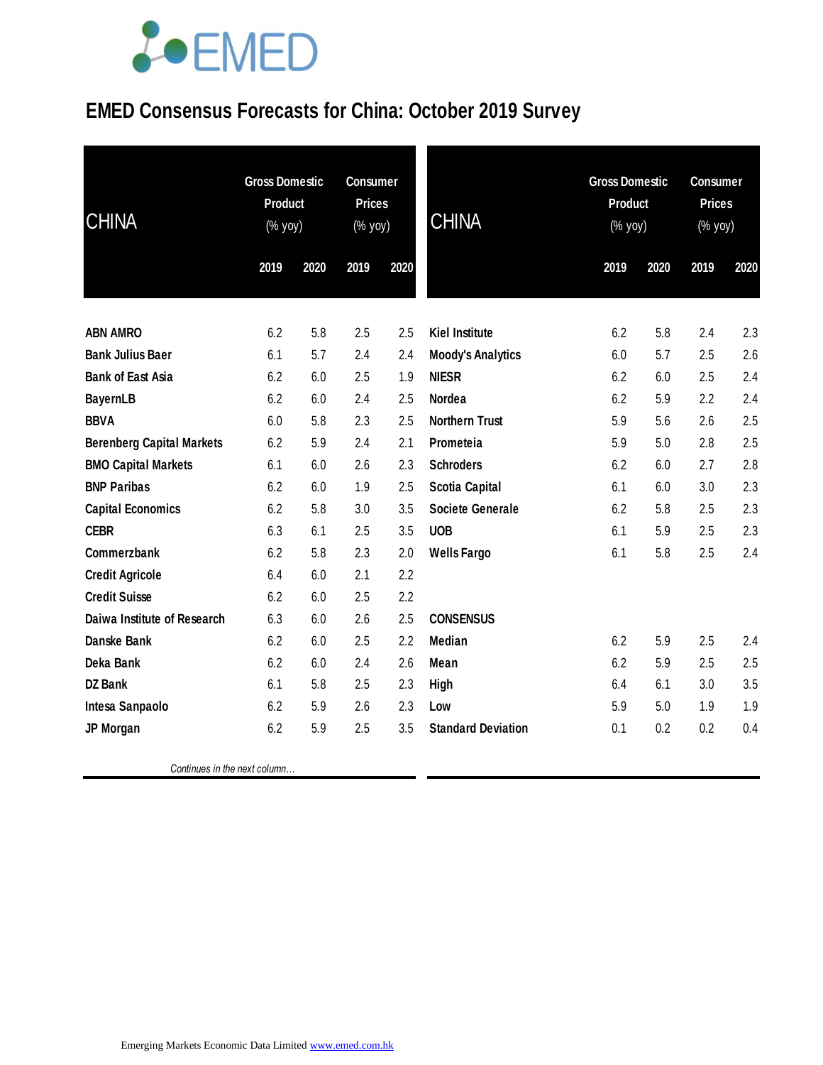### **EMED Consensus Forecasts for China: October 2019 Survey**

| <b>CHINA</b>                     | <b>Gross Domestic</b><br><b>Product</b><br>(% yoy) |      | <b>Consumer</b><br><b>Prices</b><br>(% yoy) |      | <b>CHINA</b>              | <b>Gross Domestic</b><br>Product<br>(% yoy) |      | <b>Consumer</b><br><b>Prices</b><br>(% yoy) |      |
|----------------------------------|----------------------------------------------------|------|---------------------------------------------|------|---------------------------|---------------------------------------------|------|---------------------------------------------|------|
|                                  | 2019                                               | 2020 | 2019                                        | 2020 |                           | 2019                                        | 2020 | 2019                                        | 2020 |
| <b>ABN AMRO</b>                  | 6.2                                                | 5.8  | 2.5                                         | 2.5  | <b>Kiel Institute</b>     | 6.2                                         | 5.8  | 2.4                                         | 2.3  |
| <b>Bank Julius Baer</b>          | 6.1                                                | 5.7  | 2.4                                         | 2.4  | <b>Moody's Analytics</b>  | 6.0                                         | 5.7  | 2.5                                         | 2.6  |
| <b>Bank of East Asia</b>         | 6.2                                                | 6.0  | 2.5                                         | 1.9  | <b>NIESR</b>              | 6.2                                         | 6.0  | 2.5                                         | 2.4  |
| <b>BayernLB</b>                  | 6.2                                                | 6.0  | 2.4                                         | 2.5  | <b>Nordea</b>             | 6.2                                         | 5.9  | 2.2                                         | 2.4  |
| <b>BBVA</b>                      | 6.0                                                | 5.8  | 2.3                                         | 2.5  | <b>Northern Trust</b>     | 5.9                                         | 5.6  | 2.6                                         | 2.5  |
| <b>Berenberg Capital Markets</b> | 6.2                                                | 5.9  | 2.4                                         | 2.1  | Prometeia                 | 5.9                                         | 5.0  | 2.8                                         | 2.5  |
| <b>BMO Capital Markets</b>       | 6.1                                                | 6.0  | 2.6                                         | 2.3  | <b>Schroders</b>          | 6.2                                         | 6.0  | 2.7                                         | 2.8  |
| <b>BNP Paribas</b>               | 6.2                                                | 6.0  | 1.9                                         | 2.5  | <b>Scotia Capital</b>     | 6.1                                         | 6.0  | 3.0                                         | 2.3  |
| <b>Capital Economics</b>         | 6.2                                                | 5.8  | 3.0                                         | 3.5  | <b>Societe Generale</b>   | 6.2                                         | 5.8  | 2.5                                         | 2.3  |
| <b>CEBR</b>                      | 6.3                                                | 6.1  | 2.5                                         | 3.5  | <b>UOB</b>                | 6.1                                         | 5.9  | 2.5                                         | 2.3  |
| Commerzbank                      | 6.2                                                | 5.8  | 2.3                                         | 2.0  | <b>Wells Fargo</b>        | 6.1                                         | 5.8  | 2.5                                         | 2.4  |
| <b>Credit Agricole</b>           | 6.4                                                | 6.0  | 2.1                                         | 2.2  |                           |                                             |      |                                             |      |
| <b>Credit Suisse</b>             | 6.2                                                | 6.0  | 2.5                                         | 2.2  |                           |                                             |      |                                             |      |
| Daiwa Institute of Research      | 6.3                                                | 6.0  | 2.6                                         | 2.5  | <b>CONSENSUS</b>          |                                             |      |                                             |      |
| Danske Bank                      | 6.2                                                | 6.0  | 2.5                                         | 2.2  | Median                    | 6.2                                         | 5.9  | 2.5                                         | 2.4  |
| Deka Bank                        | 6.2                                                | 6.0  | 2.4                                         | 2.6  | Mean                      | 6.2                                         | 5.9  | 2.5                                         | 2.5  |
| <b>DZ Bank</b>                   | 6.1                                                | 5.8  | 2.5                                         | 2.3  | High                      | 6.4                                         | 6.1  | 3.0                                         | 3.5  |
| Intesa Sanpaolo                  | 6.2                                                | 5.9  | 2.6                                         | 2.3  | Low                       | 5.9                                         | 5.0  | 1.9                                         | 1.9  |
| JP Morgan                        | 6.2                                                | 5.9  | 2.5                                         | 3.5  | <b>Standard Deviation</b> | 0.1                                         | 0.2  | 0.2                                         | 0.4  |